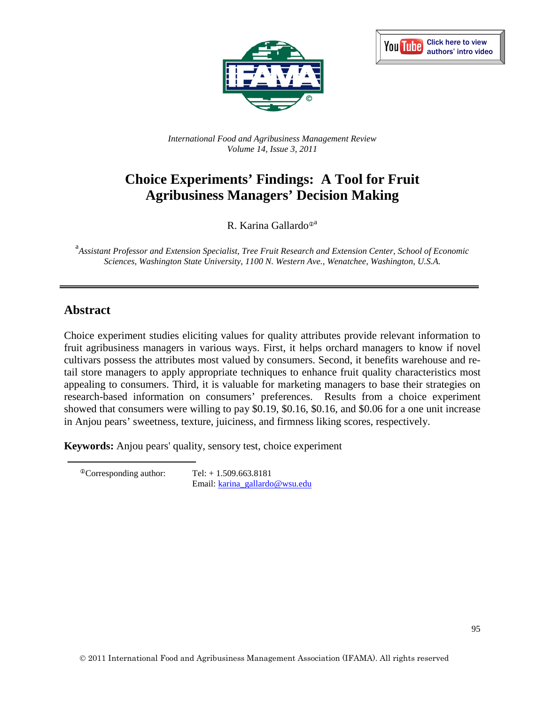



*International Food and Agribusiness Management Review Volume 14, Issue 3, 2011*

# **Choice Experiments' Findings: A Tool for Fruit Agribusiness Managers' Decision Making**

R. Karina Gallardo $^{\odot a}$ 

a *Assistant Professor and Extension Specialist, Tree Fruit Research and Extension Center, School of Economic Sciences, Washington State University, 1100 N. Western Ave., Wenatchee, Washington, U.S.A.*

## **Abstract**

Choice experiment studies eliciting values for quality attributes provide relevant information to fruit agribusiness managers in various ways. First, it helps orchard managers to know if novel cultivars possess the attributes most valued by consumers. Second, it benefits warehouse and retail store managers to apply appropriate techniques to enhance fruit quality characteristics most appealing to consumers. Third, it is valuable for marketing managers to base their strategies on research-based information on consumers' preferences. Results from a choice experiment showed that consumers were willing to pay \$0.19, \$0.16, \$0.16, and \$0.06 for a one unit increase in Anjou pears' sweetness, texture, juiciness, and firmness liking scores, respectively.

**Keywords:** Anjou pears' quality, sensory test, choice experiment

<span id="page-0-0"></span> $^{\circ}$ Corresponding author: Tel: + 1.509.663.8181 Email: [karina\\_gallardo@wsu.edu](mailto:karina_gallardo@wsu.edu)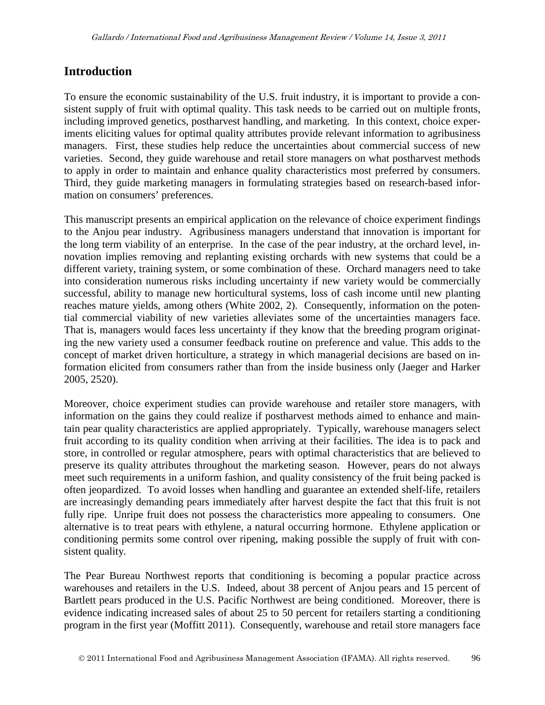### **Introduction**

To ensure the economic sustainability of the U.S. fruit industry, it is important to provide a consistent supply of fruit with optimal quality. This task needs to be carried out on multiple fronts, including improved genetics, postharvest handling, and marketing. In this context, choice experiments eliciting values for optimal quality attributes provide relevant information to agribusiness managers. First, these studies help reduce the uncertainties about commercial success of new varieties. Second, they guide warehouse and retail store managers on what postharvest methods to apply in order to maintain and enhance quality characteristics most preferred by consumers. Third, they guide marketing managers in formulating strategies based on research-based information on consumers' preferences.

This manuscript presents an empirical application on the relevance of choice experiment findings to the Anjou pear industry. Agribusiness managers understand that innovation is important for the long term viability of an enterprise. In the case of the pear industry, at the orchard level, innovation implies removing and replanting existing orchards with new systems that could be a different variety, training system, or some combination of these. Orchard managers need to take into consideration numerous risks including uncertainty if new variety would be commercially successful, ability to manage new horticultural systems, loss of cash income until new planting reaches mature yields, among others (White 2002, 2). Consequently, information on the potential commercial viability of new varieties alleviates some of the uncertainties managers face. That is, managers would faces less uncertainty if they know that the breeding program originating the new variety used a consumer feedback routine on preference and value. This adds to the concept of market driven horticulture, a strategy in which managerial decisions are based on information elicited from consumers rather than from the inside business only (Jaeger and Harker 2005, 2520).

Moreover, choice experiment studies can provide warehouse and retailer store managers, with information on the gains they could realize if postharvest methods aimed to enhance and maintain pear quality characteristics are applied appropriately. Typically, warehouse managers select fruit according to its quality condition when arriving at their facilities. The idea is to pack and store, in controlled or regular atmosphere, pears with optimal characteristics that are believed to preserve its quality attributes throughout the marketing season. However, pears do not always meet such requirements in a uniform fashion, and quality consistency of the fruit being packed is often jeopardized. To avoid losses when handling and guarantee an extended shelf-life, retailers are increasingly demanding pears immediately after harvest despite the fact that this fruit is not fully ripe. Unripe fruit does not possess the characteristics more appealing to consumers. One alternative is to treat pears with ethylene, a natural occurring hormone. Ethylene application or conditioning permits some control over ripening, making possible the supply of fruit with consistent quality.

The Pear Bureau Northwest reports that conditioning is becoming a popular practice across warehouses and retailers in the U.S. Indeed, about 38 percent of Anjou pears and 15 percent of Bartlett pears produced in the U.S. Pacific Northwest are being conditioned. Moreover, there is evidence indicating increased sales of about 25 to 50 percent for retailers starting a conditioning program in the first year (Moffitt 2011). Consequently, warehouse and retail store managers face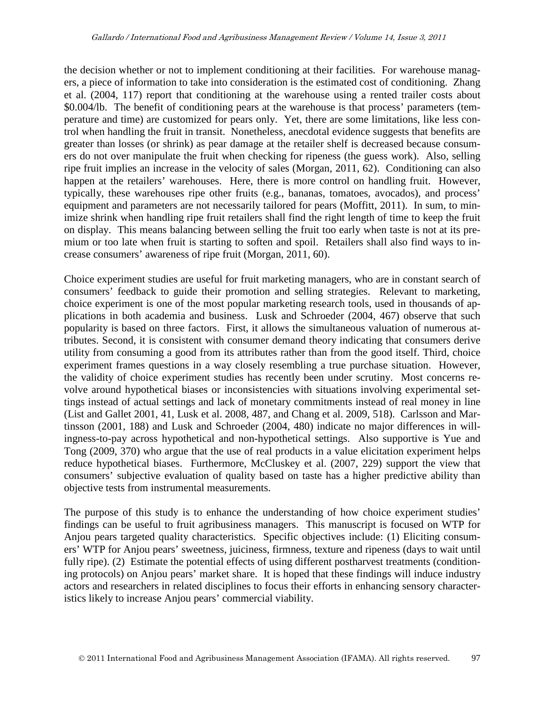the decision whether or not to implement conditioning at their facilities. For warehouse managers, a piece of information to take into consideration is the estimated cost of conditioning. Zhang et al. (2004, 117) report that conditioning at the warehouse using a rented trailer costs about \$0.004/lb. The benefit of conditioning pears at the warehouse is that process' parameters (temperature and time) are customized for pears only. Yet, there are some limitations, like less control when handling the fruit in transit. Nonetheless, anecdotal evidence suggests that benefits are greater than losses (or shrink) as pear damage at the retailer shelf is decreased because consumers do not over manipulate the fruit when checking for ripeness (the guess work). Also, selling ripe fruit implies an increase in the velocity of sales (Morgan, 2011, 62). Conditioning can also happen at the retailers' warehouses. Here, there is more control on handling fruit. However, typically, these warehouses ripe other fruits (e.g., bananas, tomatoes, avocados), and process' equipment and parameters are not necessarily tailored for pears (Moffitt, 2011). In sum, to minimize shrink when handling ripe fruit retailers shall find the right length of time to keep the fruit on display. This means balancing between selling the fruit too early when taste is not at its premium or too late when fruit is starting to soften and spoil. Retailers shall also find ways to increase consumers' awareness of ripe fruit (Morgan, 2011, 60).

Choice experiment studies are useful for fruit marketing managers, who are in constant search of consumers' feedback to guide their promotion and selling strategies. Relevant to marketing, choice experiment is one of the most popular marketing research tools, used in thousands of applications in both academia and business. Lusk and Schroeder (2004, 467) observe that such popularity is based on three factors. First, it allows the simultaneous valuation of numerous attributes. Second, it is consistent with consumer demand theory indicating that consumers derive utility from consuming a good from its attributes rather than from the good itself. Third, choice experiment frames questions in a way closely resembling a true purchase situation. However, the validity of choice experiment studies has recently been under scrutiny. Most concerns revolve around hypothetical biases or inconsistencies with situations involving experimental settings instead of actual settings and lack of monetary commitments instead of real money in line (List and Gallet 2001, 41, Lusk et al. 2008, 487, and Chang et al. 2009, 518). Carlsson and Martinsson (2001, 188) and Lusk and Schroeder (2004, 480) indicate no major differences in willingness-to-pay across hypothetical and non-hypothetical settings. Also supportive is Yue and Tong (2009, 370) who argue that the use of real products in a value elicitation experiment helps reduce hypothetical biases. Furthermore, McCluskey et al. (2007, 229) support the view that consumers' subjective evaluation of quality based on taste has a higher predictive ability than objective tests from instrumental measurements.

The purpose of this study is to enhance the understanding of how choice experiment studies' findings can be useful to fruit agribusiness managers. This manuscript is focused on WTP for Anjou pears targeted quality characteristics. Specific objectives include: (1) Eliciting consumers' WTP for Anjou pears' sweetness, juiciness, firmness, texture and ripeness (days to wait until fully ripe). (2) Estimate the potential effects of using different postharvest treatments (conditioning protocols) on Anjou pears' market share. It is hoped that these findings will induce industry actors and researchers in related disciplines to focus their efforts in enhancing sensory characteristics likely to increase Anjou pears' commercial viability.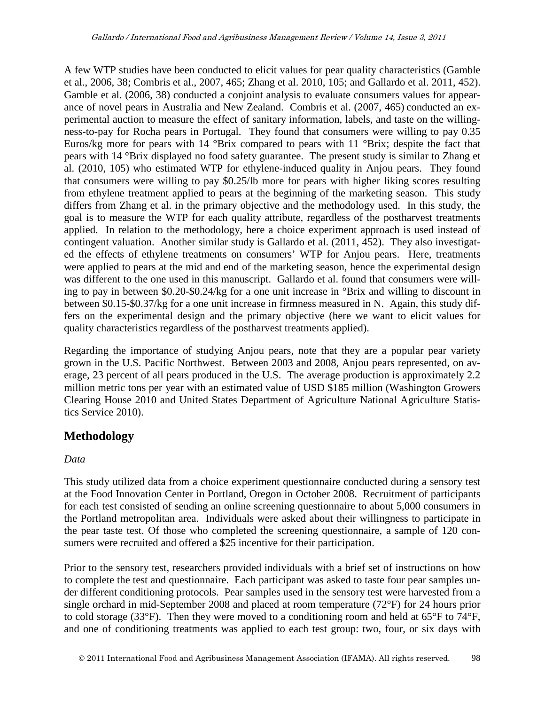A few WTP studies have been conducted to elicit values for pear quality characteristics (Gamble et al., 2006, 38; Combris et al., 2007, 465; Zhang et al. 2010, 105; and Gallardo et al. 2011, 452). Gamble et al. (2006, 38) conducted a conjoint analysis to evaluate consumers values for appearance of novel pears in Australia and New Zealand. Combris et al. (2007, 465) conducted an experimental auction to measure the effect of sanitary information, labels, and taste on the willingness-to-pay for Rocha pears in Portugal. They found that consumers were willing to pay 0.35 Euros/kg more for pears with 14  $\textdegree$ Brix compared to pears with 11  $\textdegree$ Brix; despite the fact that pears with 14 °Brix displayed no food safety guarantee. The present study is similar to Zhang et al. (2010, 105) who estimated WTP for ethylene-induced quality in Anjou pears. They found that consumers were willing to pay \$0.25/lb more for pears with higher liking scores resulting from ethylene treatment applied to pears at the beginning of the marketing season. This study differs from Zhang et al. in the primary objective and the methodology used. In this study, the goal is to measure the WTP for each quality attribute, regardless of the postharvest treatments applied. In relation to the methodology, here a choice experiment approach is used instead of contingent valuation. Another similar study is Gallardo et al. (2011, 452). They also investigated the effects of ethylene treatments on consumers' WTP for Anjou pears. Here, treatments were applied to pears at the mid and end of the marketing season, hence the experimental design was different to the one used in this manuscript. Gallardo et al. found that consumers were willing to pay in between \$0.20-\$0.24/kg for a one unit increase in °Brix and willing to discount in between \$0.15-\$0.37/kg for a one unit increase in firmness measured in N. Again, this study differs on the experimental design and the primary objective (here we want to elicit values for quality characteristics regardless of the postharvest treatments applied).

Regarding the importance of studying Anjou pears, note that they are a popular pear variety grown in the U.S. Pacific Northwest. Between 2003 and 2008, Anjou pears represented, on average, 23 percent of all pears produced in the U.S. The average production is approximately 2.2 million metric tons per year with an estimated value of USD \$185 million (Washington Growers Clearing House 2010 and United States Department of Agriculture National Agriculture Statistics Service 2010).

### **Methodology**

#### *Data*

This study utilized data from a choice experiment questionnaire conducted during a sensory test at the Food Innovation Center in Portland, Oregon in October 2008. Recruitment of participants for each test consisted of sending an online screening questionnaire to about 5,000 consumers in the Portland metropolitan area. Individuals were asked about their willingness to participate in the pear taste test. Of those who completed the screening questionnaire, a sample of 120 consumers were recruited and offered a \$25 incentive for their participation.

Prior to the sensory test, researchers provided individuals with a brief set of instructions on how to complete the test and questionnaire. Each participant was asked to taste four pear samples under different conditioning protocols. Pear samples used in the sensory test were harvested from a single orchard in mid-September 2008 and placed at room temperature (72°F) for 24 hours prior to cold storage (33°F). Then they were moved to a conditioning room and held at 65°F to 74°F, and one of conditioning treatments was applied to each test group: two, four, or six days with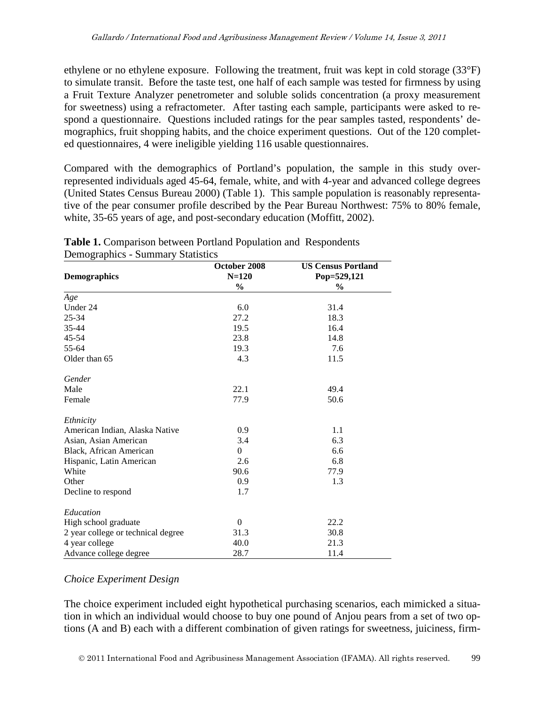ethylene or no ethylene exposure. Following the treatment, fruit was kept in cold storage (33°F) to simulate transit. Before the taste test, one half of each sample was tested for firmness by using a Fruit Texture Analyzer penetrometer and soluble solids concentration (a proxy measurement for sweetness) using a refractometer. After tasting each sample, participants were asked to respond a questionnaire. Questions included ratings for the pear samples tasted, respondents' demographics, fruit shopping habits, and the choice experiment questions. Out of the 120 completed questionnaires, 4 were ineligible yielding 116 usable questionnaires.

Compared with the demographics of Portland's population, the sample in this study overrepresented individuals aged 45-64, female, white, and with 4-year and advanced college degrees (United States Census Bureau 2000) (Table 1). This sample population is reasonably representative of the pear consumer profile described by the Pear Bureau Northwest: 75% to 80% female, white, 35-65 years of age, and post-secondary education (Moffitt, 2002).

|                                    | October 2008   | <b>US Census Portland</b>    |  |
|------------------------------------|----------------|------------------------------|--|
| <b>Demographics</b>                | $N = 120$      | Pop=529,121<br>$\frac{6}{9}$ |  |
|                                    | $\frac{6}{9}$  |                              |  |
| Age                                |                |                              |  |
| Under 24                           | 6.0            | 31.4                         |  |
| 25-34                              | 27.2           | 18.3                         |  |
| $35 - 44$                          | 19.5           | 16.4                         |  |
| 45-54                              | 23.8           | 14.8                         |  |
| 55-64                              | 19.3           | 7.6                          |  |
| Older than 65                      | 4.3            | 11.5                         |  |
| Gender                             |                |                              |  |
| Male                               | 22.1           | 49.4                         |  |
| Female                             | 77.9           | 50.6                         |  |
| Ethnicity                          |                |                              |  |
| American Indian, Alaska Native     | 0.9            | 1.1                          |  |
| Asian, Asian American              | 3.4            | 6.3                          |  |
| Black, African American            | $\overline{0}$ | 6.6                          |  |
| Hispanic, Latin American           | 2.6            | 6.8                          |  |
| White                              | 90.6           | 77.9                         |  |
| Other                              | 0.9            | 1.3                          |  |
| Decline to respond                 | 1.7            |                              |  |
| Education                          |                |                              |  |
| High school graduate               | $\Omega$       | 22.2                         |  |
| 2 year college or technical degree | 31.3           | 30.8                         |  |
| 4 year college                     | 40.0           | 21.3                         |  |
| Advance college degree             | 28.7           | 11.4                         |  |

**Table 1.** Comparison between Portland Population and Respondents Demographics - Summary Statistics

#### *Choice Experiment Design*

The choice experiment included eight hypothetical purchasing scenarios, each mimicked a situation in which an individual would choose to buy one pound of Anjou pears from a set of two options (A and B) each with a different combination of given ratings for sweetness, juiciness, firm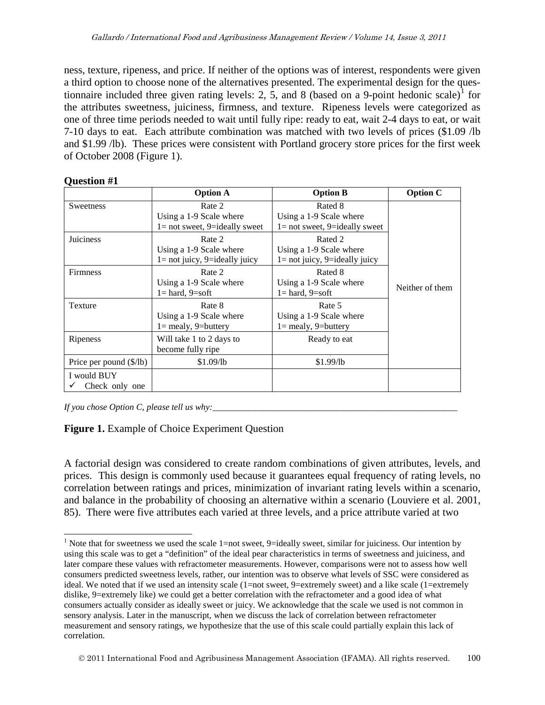ness, texture, ripeness, and price. If neither of the options was of interest, respondents were given a third option to choose none of the alternatives presented. The experimental design for the ques-tionnaire included three given rating levels: 2, 5, and 8 (based on a 9-point hedonic scale)<sup>[1](#page-0-0)</sup> for the attributes sweetness, juiciness, firmness, and texture. Ripeness levels were categorized as one of three time periods needed to wait until fully ripe: ready to eat, wait 2-4 days to eat, or wait 7-10 days to eat. Each attribute combination was matched with two levels of prices (\$1.09 /lb and \$1.99 /lb). These prices were consistent with Portland grocery store prices for the first week of October 2008 (Figure 1).

#### **Question #1**

|                               | <b>Option A</b>                                                       | <b>Option B</b>                                                        | <b>Option C</b> |
|-------------------------------|-----------------------------------------------------------------------|------------------------------------------------------------------------|-----------------|
| <b>Sweetness</b>              | Rate 2<br>Using a 1-9 Scale where<br>$l = not$ sweet, 9=ideally sweet | Rated 8<br>Using a 1-9 Scale where<br>$l = not$ sweet, 9=ideally sweet |                 |
| Juiciness                     | Rate 2<br>Using a 1-9 Scale where<br>$1 = not$ juicy, 9=ideally juicy | Rated 2<br>Using a 1-9 Scale where<br>$1 = not$ juicy, 9=ideally juicy |                 |
| Firmness                      | Rate 2<br>Using a 1-9 Scale where<br>$1 =$ hard, $9 =$ soft           | Rated 8<br>Using a 1-9 Scale where<br>$l = hard, 9 = soft$             | Neither of them |
| Texture                       | Rate 8<br>Using a 1-9 Scale where<br>$1 =$ mealy, 9=buttery           | Rate 5<br>Using a 1-9 Scale where<br>$l =$ mealy, 9=buttery            |                 |
| Ripeness                      | Will take 1 to 2 days to<br>become fully ripe                         | Ready to eat                                                           |                 |
| Price per pound (\$/lb)       | \$1.09/b                                                              | \$1.99/lb                                                              |                 |
| I would BUY<br>Check only one |                                                                       |                                                                        |                 |

*If you chose Option C, please tell us why:* 

#### **Figure 1.** Example of Choice Experiment Question

A factorial design was considered to create random combinations of given attributes, levels, and prices. This design is commonly used because it guarantees equal frequency of rating levels, no correlation between ratings and prices, minimization of invariant rating levels within a scenario, and balance in the probability of choosing an alternative within a scenario (Louviere et al. 2001, 85). There were five attributes each varied at three levels, and a price attribute varied at two

<span id="page-5-0"></span><sup>&</sup>lt;sup>1</sup> Note that for sweetness we used the scale 1=not sweet, 9=ideally sweet, similar for juiciness. Our intention by using this scale was to get a "definition" of the ideal pear characteristics in terms of sweetness and juiciness, and later compare these values with refractometer measurements. However, comparisons were not to assess how well consumers predicted sweetness levels, rather, our intention was to observe what levels of SSC were considered as ideal. We noted that if we used an intensity scale (1=not sweet, 9=extremely sweet) and a like scale (1=extremely dislike, 9=extremely like) we could get a better correlation with the refractometer and a good idea of what consumers actually consider as ideally sweet or juicy. We acknowledge that the scale we used is not common in sensory analysis. Later in the manuscript, when we discuss the lack of correlation between refractometer measurement and sensory ratings, we hypothesize that the use of this scale could partially explain this lack of correlation.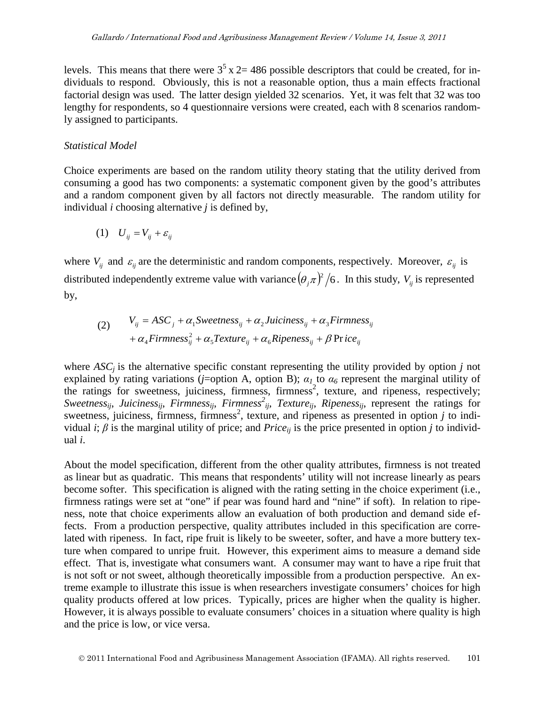levels. This means that there were  $3<sup>5</sup>$  x 2 = 486 possible descriptors that could be created, for individuals to respond. Obviously, this is not a reasonable option, thus a main effects fractional factorial design was used. The latter design yielded 32 scenarios. Yet, it was felt that 32 was too lengthy for respondents, so 4 questionnaire versions were created, each with 8 scenarios randomly assigned to participants.

#### *Statistical Model*

Choice experiments are based on the random utility theory stating that the utility derived from consuming a good has two components: a systematic component given by the good's attributes and a random component given by all factors not directly measurable. The random utility for individual *i* choosing alternative *j* is defined by,

$$
(1) \tU_{ij} = V_{ij} + \varepsilon_{ij}
$$

where  $V_{ij}$  and  $\varepsilon_{ij}$  are the deterministic and random components, respectively. Moreover,  $\varepsilon_{ij}$  is distributed independently extreme value with variance  $(\theta_j \pi)^2/6$ . In this study,  $V_{ij}$  is represented by,

(2) 
$$
V_{ij} = ASC_j + \alpha_1 \text{Sweetness}_{ij} + \alpha_2 \text{Juiciness}_{ij} + \alpha_3 \text{Firmness}_{ij} + \alpha_4 \text{Firmness}_{ij}^2 + \alpha_5 \text{Texture}_{ij} + \alpha_6 \text{Ripeness}_{ij} + \beta \text{Price}_{ij}
$$

where  $ASC<sub>j</sub>$  is the alternative specific constant representing the utility provided by option *j* not explained by rating variations (*j*=option A, option B);  $\alpha_I$  to  $\alpha_6$  represent the marginal utility of the ratings for sweetness, juiciness, firmness, firmness<sup>2</sup>, texture, and ripeness, respectively; *Sweetnessij*, *Juicinessij*, *Firmnessij*, *Firmness<sup>2</sup> ij, Textureij*, *Ripenessij*, represent the ratings for sweetness, juiciness, firmness, firmness<sup>2</sup>, texture, and ripeness as presented in option *j* to individual *i*;  $\beta$  is the marginal utility of price; and *Price<sub>ij</sub>* is the price presented in option *j* to individual *i*.

About the model specification, different from the other quality attributes, firmness is not treated as linear but as quadratic. This means that respondents' utility will not increase linearly as pears become softer. This specification is aligned with the rating setting in the choice experiment (i.e., firmness ratings were set at "one" if pear was found hard and "nine" if soft). In relation to ripeness, note that choice experiments allow an evaluation of both production and demand side effects. From a production perspective, quality attributes included in this specification are correlated with ripeness. In fact, ripe fruit is likely to be sweeter, softer, and have a more buttery texture when compared to unripe fruit. However, this experiment aims to measure a demand side effect. That is, investigate what consumers want. A consumer may want to have a ripe fruit that is not soft or not sweet, although theoretically impossible from a production perspective. An extreme example to illustrate this issue is when researchers investigate consumers' choices for high quality products offered at low prices. Typically, prices are higher when the quality is higher. However, it is always possible to evaluate consumers' choices in a situation where quality is high and the price is low, or vice versa.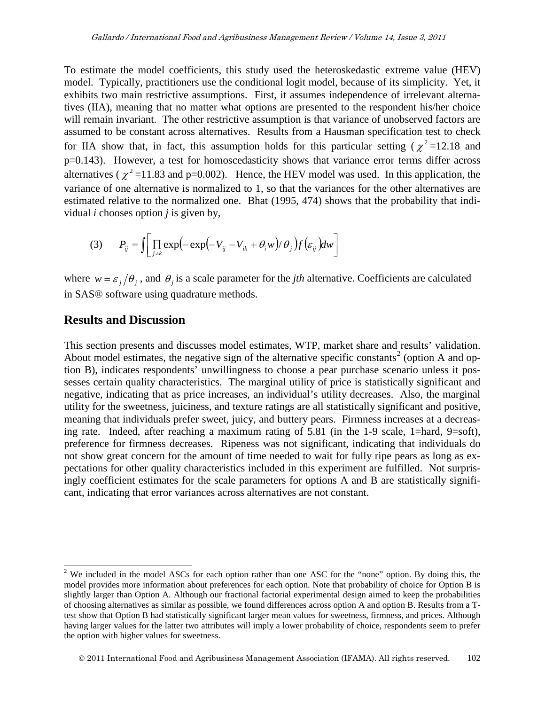To estimate the model coefficients, this study used the heteroskedastic extreme value (HEV) model. Typically, practitioners use the conditional logit model, because of its simplicity. Yet, it exhibits two main restrictive assumptions. First, it assumes independence of irrelevant alternatives (IIA), meaning that no matter what options are presented to the respondent his/her choice will remain invariant. The other restrictive assumption is that variance of unobserved factors are assumed to be constant across alternatives. Results from a Hausman specification test to check for IIA show that, in fact, this assumption holds for this particular setting ( $\chi^2$ =12.18 and p=0.143). However, a test for homoscedasticity shows that variance error terms differ across alternatives ( $\chi^2$  =11.83 and p=0.002). Hence, the HEV model was used. In this application, the variance of one alternative is normalized to 1, so that the variances for the other alternatives are estimated relative to the normalized one. Bhat (1995, 474) shows that the probability that individual *i* chooses option *j* is given by,

(3) 
$$
P_{ij} = \int \left[ \prod_{j \neq k} \exp\left(-\exp\left(-V_{ij} - V_{ik} + \theta_i w\right)/\theta_j\right) f\left(\varepsilon_{ij}\right) dw \right]
$$

where  $w = \varepsilon_j / \theta_j$ , and  $\theta_j$  is a scale parameter for the *jth* alternative. Coefficients are calculated in SAS® software using quadrature methods.

#### **Results and Discussion**

This section presents and discusses model estimates, WTP, market share and results' validation. About model estimates, the negative sign of the alternative specific constants<sup>[2](#page-5-0)</sup> (option A and option B), indicates respondents' unwillingness to choose a pear purchase scenario unless it possesses certain quality characteristics. The marginal utility of price is statistically significant and negative, indicating that as price increases, an individual's utility decreases. Also, the marginal utility for the sweetness, juiciness, and texture ratings are all statistically significant and positive, meaning that individuals prefer sweet, juicy, and buttery pears. Firmness increases at a decreasing rate. Indeed, after reaching a maximum rating of 5.81 (in the 1-9 scale, 1=hard, 9=soft), preference for firmness decreases. Ripeness was not significant, indicating that individuals do not show great concern for the amount of time needed to wait for fully ripe pears as long as expectations for other quality characteristics included in this experiment are fulfilled. Not surprisingly coefficient estimates for the scale parameters for options A and B are statistically significant, indicating that error variances across alternatives are not constant.

<span id="page-7-0"></span><sup>&</sup>lt;sup>2</sup> We included in the model ASCs for each option rather than one ASC for the "none" option. By doing this, the model provides more information about preferences for each option. Note that probability of choice for Option B is slightly larger than Option A. Although our fractional factorial experimental design aimed to keep the probabilities of choosing alternatives as similar as possible, we found differences across option A and option B. Results from a Ttest show that Option B had statistically significant larger mean values for sweetness, firmness, and prices. Although having larger values for the latter two attributes will imply a lower probability of choice, respondents seem to prefer the option with higher values for sweetness.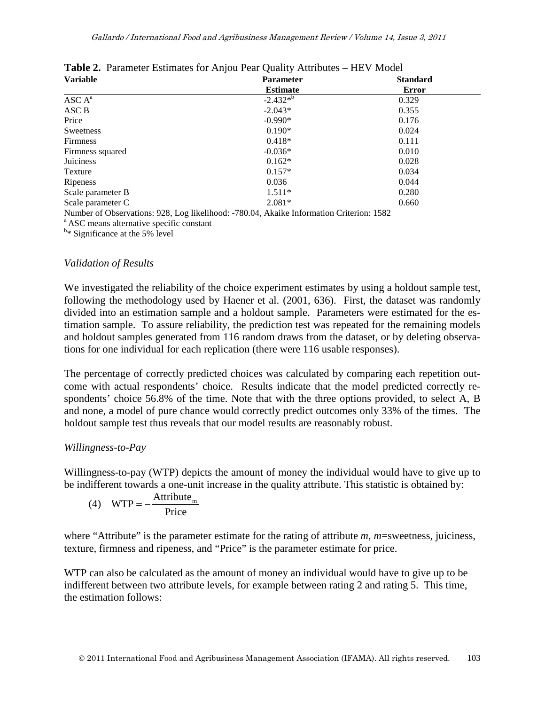| <b>Variable</b>    | <b>Parameter</b> | <b>Standard</b> |
|--------------------|------------------|-----------------|
|                    | <b>Estimate</b>  | Error           |
| ASC A <sup>a</sup> | $-2.432*^{b}$    | 0.329           |
| ASC B              | $-2.043*$        | 0.355           |
| Price              | $-0.990*$        | 0.176           |
| Sweetness          | $0.190*$         | 0.024           |
| <b>Firmness</b>    | $0.418*$         | 0.111           |
| Firmness squared   | $-0.036*$        | 0.010           |
| Juiciness          | $0.162*$         | 0.028           |
| Texture            | $0.157*$         | 0.034           |
| Ripeness           | 0.036            | 0.044           |
| Scale parameter B  | $1.511*$         | 0.280           |
| Scale parameter C  | $2.081*$         | 0.660           |

**Table 2.** Parameter Estimates for Anjou Pear Quality Attributes – HEV Model

Number of Observations: 928, Log likelihood: -780.04, Akaike Information Criterion: 1582<br><sup>a</sup> ASC means alternative specific constant

<sup>b\*</sup> Significance at the 5% level

#### *Validation of Results*

We investigated the reliability of the choice experiment estimates by using a holdout sample test, following the methodology used by Haener et al. (2001, 636). First, the dataset was randomly divided into an estimation sample and a holdout sample. Parameters were estimated for the estimation sample. To assure reliability, the prediction test was repeated for the remaining models and holdout samples generated from 116 random draws from the dataset, or by deleting observations for one individual for each replication (there were 116 usable responses).

The percentage of correctly predicted choices was calculated by comparing each repetition outcome with actual respondents' choice. Results indicate that the model predicted correctly respondents' choice 56.8% of the time. Note that with the three options provided, to select A, B and none, a model of pure chance would correctly predict outcomes only 33% of the times. The holdout sample test thus reveals that our model results are reasonably robust.

#### *Willingness-to-Pay*

Willingness-to-pay (WTP) depicts the amount of money the individual would have to give up to be indifferent towards a one-unit increase in the quality attribute. This statistic is obtained by:

(4) 
$$
WTP = -\frac{Attribute_m}{Price}
$$

where "Attribute" is the parameter estimate for the rating of attribute *m*, *m*=sweetness, juiciness, texture, firmness and ripeness, and "Price" is the parameter estimate for price.

WTP can also be calculated as the amount of money an individual would have to give up to be indifferent between two attribute levels, for example between rating 2 and rating 5. This time, the estimation follows: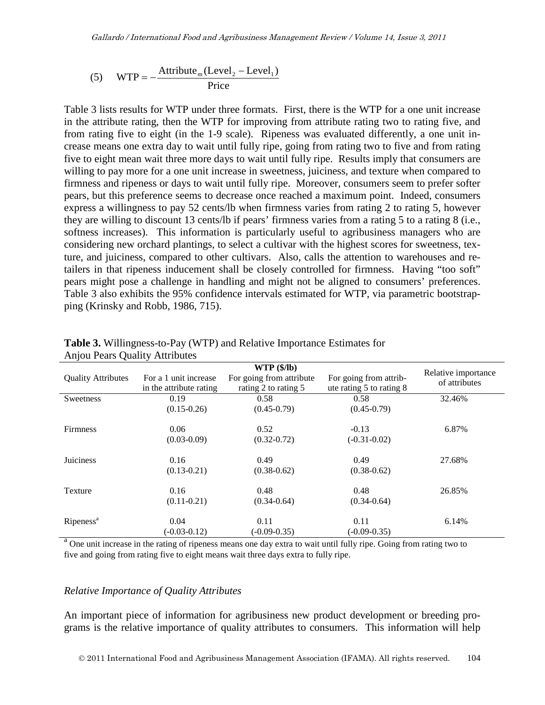(5) WTP = 
$$
-\frac{\text{Attribute}_{\text{m}}(\text{Level}_2 - \text{Level}_1)}{\text{Price}}
$$

Table 3 lists results for WTP under three formats. First, there is the WTP for a one unit increase in the attribute rating, then the WTP for improving from attribute rating two to rating five, and from rating five to eight (in the 1-9 scale). Ripeness was evaluated differently, a one unit increase means one extra day to wait until fully ripe, going from rating two to five and from rating five to eight mean wait three more days to wait until fully ripe. Results imply that consumers are willing to pay more for a one unit increase in sweetness, juiciness, and texture when compared to firmness and ripeness or days to wait until fully ripe. Moreover, consumers seem to prefer softer pears, but this preference seems to decrease once reached a maximum point. Indeed, consumers express a willingness to pay 52 cents/lb when firmness varies from rating 2 to rating 5, however they are willing to discount 13 cents/lb if pears' firmness varies from a rating 5 to a rating 8 (i.e., softness increases). This information is particularly useful to agribusiness managers who are considering new orchard plantings, to select a cultivar with the highest scores for sweetness, texture, and juiciness, compared to other cultivars. Also, calls the attention to warehouses and retailers in that ripeness inducement shall be closely controlled for firmness. Having "too soft" pears might pose a challenge in handling and might not be aligned to consumers' preferences. Table 3 also exhibits the 95% confidence intervals estimated for WTP, via parametric bootstrapping (Krinsky and Robb, 1986, 715).

| ◡                         | ັ                                                |                                                                |                                                    |                                      |
|---------------------------|--------------------------------------------------|----------------------------------------------------------------|----------------------------------------------------|--------------------------------------|
| <b>Quality Attributes</b> | For a 1 unit increase<br>in the attribute rating | WTP(\$/lb)<br>For going from attribute<br>rating 2 to rating 5 | For going from attrib-<br>ute rating 5 to rating 8 | Relative importance<br>of attributes |
| Sweetness                 | 0.19                                             | 0.58                                                           | 0.58                                               | 32.46%                               |
|                           | $(0.15 - 0.26)$                                  | $(0.45 - 0.79)$                                                | $(0.45 - 0.79)$                                    |                                      |
|                           |                                                  |                                                                |                                                    |                                      |
| <b>Firmness</b>           | 0.06                                             | 0.52                                                           | $-0.13$                                            | 6.87%                                |
|                           | $(0.03 - 0.09)$                                  | $(0.32 - 0.72)$                                                | $(-0.31 - 0.02)$                                   |                                      |
|                           |                                                  |                                                                |                                                    |                                      |
| Juiciness                 | 0.16                                             | 0.49                                                           | 0.49                                               | 27.68%                               |
|                           | $(0.13 - 0.21)$                                  | $(0.38 - 0.62)$                                                | $(0.38 - 0.62)$                                    |                                      |
|                           |                                                  |                                                                |                                                    |                                      |
| Texture                   | 0.16                                             | 0.48                                                           | 0.48                                               | 26.85%                               |
|                           | $(0.11 - 0.21)$                                  | $(0.34 - 0.64)$                                                | $(0.34 - 0.64)$                                    |                                      |
|                           |                                                  |                                                                |                                                    |                                      |
| Ripeness <sup>a</sup>     | 0.04                                             | 0.11                                                           | 0.11                                               | 6.14%                                |
|                           | $(-0.03 - 0.12)$                                 | $(-0.09 - 0.35)$                                               | $(-0.09 - 0.35)$                                   |                                      |

**Table 3.** Willingness-to-Pay (WTP) and Relative Importance Estimates for Anjou Pears Quality Attributes

<sup>a</sup> One unit increase in the rating of ripeness means one day extra to wait until fully ripe. Going from rating two to five and going from rating five to eight means wait three days extra to fully ripe.

#### *Relative Importance of Quality Attributes*

An important piece of information for agribusiness new product development or breeding programs is the relative importance of quality attributes to consumers. This information will help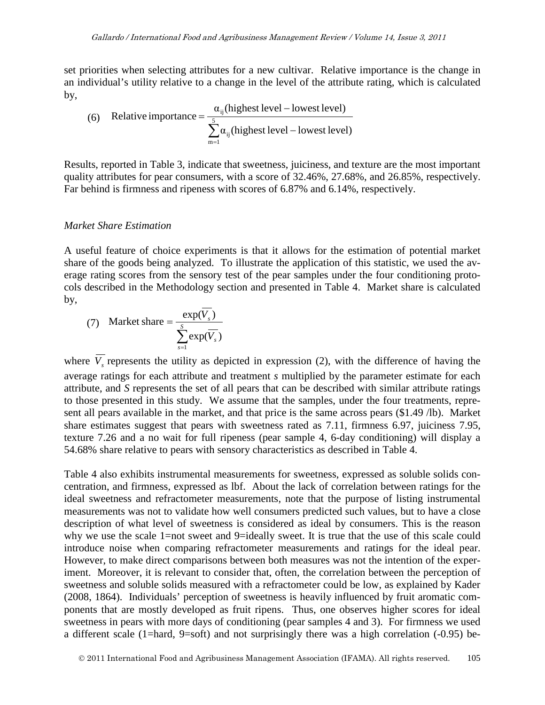set priorities when selecting attributes for a new cultivar. Relative importance is the change in an individual's utility relative to a change in the level of the attribute rating, which is calculated by,

(6) Relative importance = 
$$
\frac{\alpha_{ij}(\text{highest level} - \text{lowest level})}{\sum_{m=1}^{5} \alpha_{ij}(\text{highest level} - \text{lowest level})}
$$

Results, reported in Table 3, indicate that sweetness, juiciness, and texture are the most important quality attributes for pear consumers, with a score of 32.46%, 27.68%, and 26.85%, respectively. Far behind is firmness and ripeness with scores of 6.87% and 6.14%, respectively.

#### *Market Share Estimation*

A useful feature of choice experiments is that it allows for the estimation of potential market share of the goods being analyzed. To illustrate the application of this statistic, we used the average rating scores from the sensory test of the pear samples under the four conditioning protocols described in the Methodology section and presented in Table 4. Market share is calculated by,

(7) Market share 
$$
=
$$
 
$$
\frac{\exp(V_s)}{\sum_{s=1}^{S} \exp(\overline{V_s})}
$$

where  $\overline{V_s}$  represents the utility as depicted in expression (2), with the difference of having the average ratings for each attribute and treatment *s* multiplied by the parameter estimate for each attribute, and *S* represents the set of all pears that can be described with similar attribute ratings to those presented in this study. We assume that the samples, under the four treatments, represent all pears available in the market, and that price is the same across pears (\$1.49 /lb). Market share estimates suggest that pears with sweetness rated as 7.11, firmness 6.97, juiciness 7.95, texture 7.26 and a no wait for full ripeness (pear sample 4, 6-day conditioning) will display a 54.68% share relative to pears with sensory characteristics as described in Table 4.

Table 4 also exhibits instrumental measurements for sweetness, expressed as soluble solids concentration, and firmness, expressed as lbf. About the lack of correlation between ratings for the ideal sweetness and refractometer measurements, note that the purpose of listing instrumental measurements was not to validate how well consumers predicted such values, but to have a close description of what level of sweetness is considered as ideal by consumers. This is the reason why we use the scale 1=not sweet and 9=ideally sweet. It is true that the use of this scale could introduce noise when comparing refractometer measurements and ratings for the ideal pear. However, to make direct comparisons between both measures was not the intention of the experiment. Moreover, it is relevant to consider that, often, the correlation between the perception of sweetness and soluble solids measured with a refractometer could be low, as explained by Kader (2008, 1864). Individuals' perception of sweetness is heavily influenced by fruit aromatic components that are mostly developed as fruit ripens. Thus, one observes higher scores for ideal sweetness in pears with more days of conditioning (pear samples 4 and 3). For firmness we used a different scale (1=hard, 9=soft) and not surprisingly there was a high correlation (-0.95) be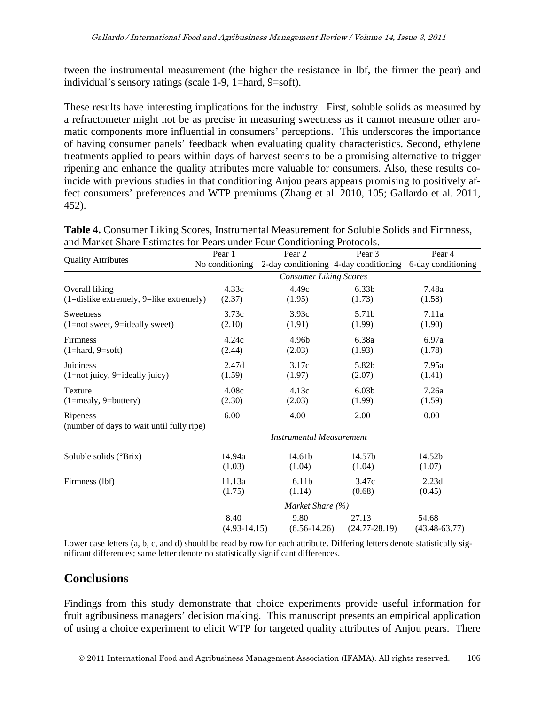tween the instrumental measurement (the higher the resistance in lbf, the firmer the pear) and individual's sensory ratings (scale 1-9, 1=hard, 9=soft).

These results have interesting implications for the industry. First, soluble solids as measured by a refractometer might not be as precise in measuring sweetness as it cannot measure other aromatic components more influential in consumers' perceptions. This underscores the importance of having consumer panels' feedback when evaluating quality characteristics. Second, ethylene treatments applied to pears within days of harvest seems to be a promising alternative to trigger ripening and enhance the quality attributes more valuable for consumers. Also, these results coincide with previous studies in that conditioning Anjou pears appears promising to positively affect consumers' preferences and WTP premiums (Zhang et al. 2010, 105; Gallardo et al. 2011, 452).

|                                            | Pear 1                        | Pear <sub>2</sub>               | Pear <sub>3</sub>                     | Pear 4             |
|--------------------------------------------|-------------------------------|---------------------------------|---------------------------------------|--------------------|
| <b>Quality Attributes</b>                  | No conditioning               |                                 | 2-day conditioning 4-day conditioning | 6-day conditioning |
|                                            | <b>Consumer Liking Scores</b> |                                 |                                       |                    |
| Overall liking                             | 4.33c                         | 4.49c                           | 6.33 <sub>b</sub>                     | 7.48a              |
| $(1=$ dislike extremely, 9=like extremely) | (2.37)                        | (1.95)                          | (1.73)                                | (1.58)             |
| Sweetness                                  | 3.73c                         | 3.93c                           | 5.71b                                 | 7.11a              |
| $(1=not$ sweet, 9=ideally sweet)           | (2.10)                        | (1.91)                          | (1.99)                                | (1.90)             |
| <b>Firmness</b>                            | 4.24c                         | 4.96b                           | 6.38a                                 | 6.97a              |
| $(1 = hard, 9 = soft)$                     | (2.44)                        | (2.03)                          | (1.93)                                | (1.78)             |
| Juiciness                                  | 2.47d                         | 3.17c                           | 5.82b                                 | 7.95a              |
| (1=not juicy, 9=ideally juicy)             | (1.59)                        | (1.97)                          | (2.07)                                | (1.41)             |
| Texture                                    | 4.08c                         | 4.13c                           | 6.03 <sub>b</sub>                     | 7.26a              |
| $(1 = \text{mealy}, 9 = \text{buttery})$   | (2.30)                        | (2.03)                          | (1.99)                                | (1.59)             |
| Ripeness                                   | 6.00                          | 4.00                            | 2.00                                  | 0.00               |
| (number of days to wait until fully ripe)  |                               |                                 |                                       |                    |
|                                            |                               | <b>Instrumental Measurement</b> |                                       |                    |
| Soluble solids (°Brix)                     | 14.94a                        | 14.61b                          | 14.57b                                | 14.52b             |
|                                            | (1.03)                        | (1.04)                          | (1.04)                                | (1.07)             |
| Firmness (lbf)                             | 11.13a                        | 6.11 <sub>b</sub>               | 3.47c                                 | 2.23d              |
|                                            | (1.75)                        | (1.14)                          | (0.68)                                | (0.45)             |
|                                            | Market Share (%)              |                                 |                                       |                    |
|                                            | 8.40                          | 9.80                            | 27.13                                 | 54.68              |
|                                            | $(4.93-14.15)$                | $(6.56 - 14.26)$                | $(24.77 - 28.19)$                     | $(43.48 - 63.77)$  |

**Table 4.** Consumer Liking Scores, Instrumental Measurement for Soluble Solids and Firmness, and Market Share Estimates for Pears under Four Conditioning Protocols.

Lower case letters (a, b, c, and d) should be read by row for each attribute. Differing letters denote statistically significant differences; same letter denote no statistically significant differences.

### **Conclusions**

Findings from this study demonstrate that choice experiments provide useful information for fruit agribusiness managers' decision making. This manuscript presents an empirical application of using a choice experiment to elicit WTP for targeted quality attributes of Anjou pears. There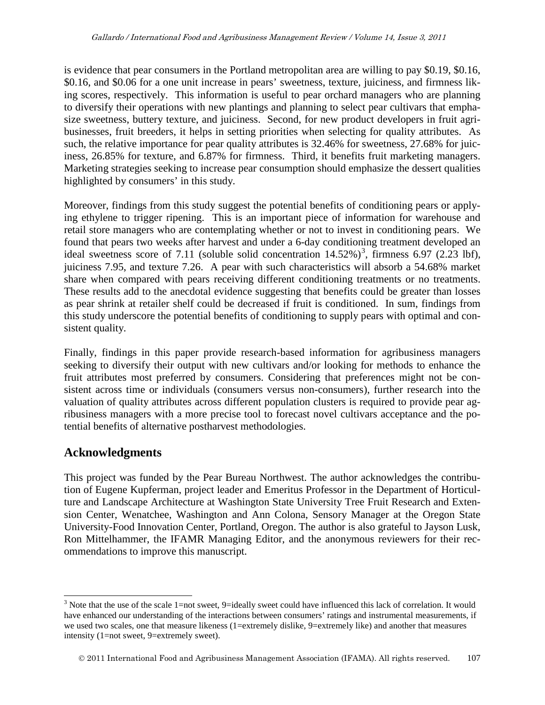is evidence that pear consumers in the Portland metropolitan area are willing to pay \$0.19, \$0.16, \$0.16, and \$0.06 for a one unit increase in pears' sweetness, texture, juiciness, and firmness liking scores, respectively. This information is useful to pear orchard managers who are planning to diversify their operations with new plantings and planning to select pear cultivars that emphasize sweetness, buttery texture, and juiciness. Second, for new product developers in fruit agribusinesses, fruit breeders, it helps in setting priorities when selecting for quality attributes. As such, the relative importance for pear quality attributes is 32.46% for sweetness, 27.68% for juiciness, 26.85% for texture, and 6.87% for firmness. Third, it benefits fruit marketing managers. Marketing strategies seeking to increase pear consumption should emphasize the dessert qualities highlighted by consumers' in this study.

Moreover, findings from this study suggest the potential benefits of conditioning pears or applying ethylene to trigger ripening. This is an important piece of information for warehouse and retail store managers who are contemplating whether or not to invest in conditioning pears. We found that pears two weeks after harvest and under a 6-day conditioning treatment developed an ideal sweetness score of 7.11 (soluble solid concentration  $14.52\%$ )<sup>[3](#page-7-0)</sup>, firmness 6.97 (2.23 lbf), juiciness 7.95, and texture 7.26. A pear with such characteristics will absorb a 54.68% market share when compared with pears receiving different conditioning treatments or no treatments. These results add to the anecdotal evidence suggesting that benefits could be greater than losses as pear shrink at retailer shelf could be decreased if fruit is conditioned. In sum, findings from this study underscore the potential benefits of conditioning to supply pears with optimal and consistent quality.

Finally, findings in this paper provide research-based information for agribusiness managers seeking to diversify their output with new cultivars and/or looking for methods to enhance the fruit attributes most preferred by consumers. Considering that preferences might not be consistent across time or individuals (consumers versus non-consumers), further research into the valuation of quality attributes across different population clusters is required to provide pear agribusiness managers with a more precise tool to forecast novel cultivars acceptance and the potential benefits of alternative postharvest methodologies.

### **Acknowledgments**

This project was funded by the Pear Bureau Northwest. The author acknowledges the contribution of Eugene Kupferman, project leader and Emeritus Professor in the Department of Horticulture and Landscape Architecture at Washington State University Tree Fruit Research and Extension Center, Wenatchee, Washington and Ann Colona, Sensory Manager at the Oregon State University-Food Innovation Center, Portland, Oregon. The author is also grateful to Jayson Lusk, Ron Mittelhammer, the IFAMR Managing Editor, and the anonymous reviewers for their recommendations to improve this manuscript.

<sup>&</sup>lt;sup>3</sup> Note that the use of the scale 1=not sweet, 9=ideally sweet could have influenced this lack of correlation. It would have enhanced our understanding of the interactions between consumers' ratings and instrumental measurements, if we used two scales, one that measure likeness (1=extremely dislike, 9=extremely like) and another that measures intensity (1=not sweet, 9=extremely sweet).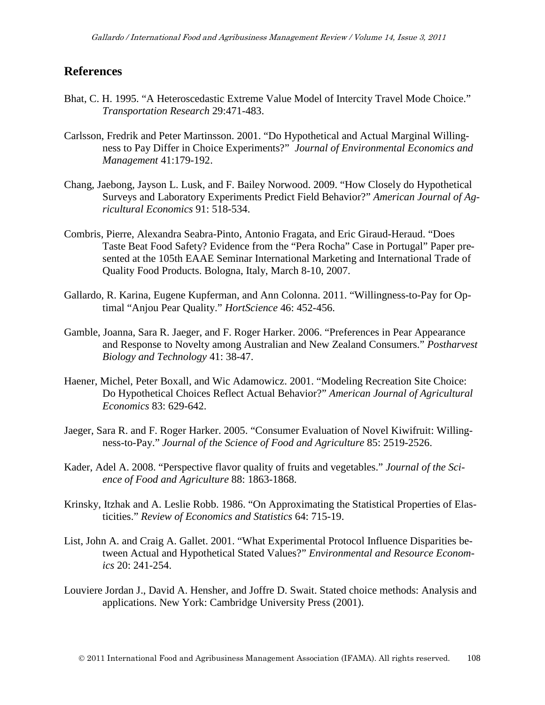### **References**

- Bhat, C. H. 1995. "A Heteroscedastic Extreme Value Model of Intercity Travel Mode Choice." *Transportation Research* 29:471-483.
- Carlsson, Fredrik and Peter Martinsson. 2001. "Do Hypothetical and Actual Marginal Willingness to Pay Differ in Choice Experiments?" *Journal of Environmental Economics and Management* 41:179-192.
- Chang, Jaebong, Jayson L. Lusk, and F. Bailey Norwood. 2009. "How Closely do Hypothetical Surveys and Laboratory Experiments Predict Field Behavior?" *American Journal of Agricultural Economics* 91: 518-534.
- Combris, Pierre, Alexandra Seabra-Pinto, Antonio Fragata, and Eric Giraud-Heraud. "Does Taste Beat Food Safety? Evidence from the "Pera Rocha" Case in Portugal" Paper presented at the 105th EAAE Seminar International Marketing and International Trade of Quality Food Products. Bologna, Italy, March 8-10, 2007.
- Gallardo, R. Karina, Eugene Kupferman, and Ann Colonna. 2011. "Willingness-to-Pay for Optimal "Anjou Pear Quality." *HortScience* 46: 452-456.
- Gamble, Joanna, Sara R. Jaeger, and F. Roger Harker. 2006. "Preferences in Pear Appearance and Response to Novelty among Australian and New Zealand Consumers." *Postharvest Biology and Technology* 41: 38-47.
- Haener, Michel, Peter Boxall, and Wic Adamowicz. 2001. "Modeling Recreation Site Choice: Do Hypothetical Choices Reflect Actual Behavior?" *American Journal of Agricultural Economics* 83: 629-642.
- Jaeger, Sara R. and F. Roger Harker. 2005. "Consumer Evaluation of Novel Kiwifruit: Willingness-to-Pay." *Journal of the Science of Food and Agriculture* 85: 2519-2526.
- Kader, Adel A. 2008. "Perspective flavor quality of fruits and vegetables." *Journal of the Science of Food and Agriculture* 88: 1863-1868.
- Krinsky, Itzhak and A. Leslie Robb. 1986. "On Approximating the Statistical Properties of Elasticities." *Review of Economics and Statistics* 64: 715-19.
- List, John A. and Craig A. Gallet. 2001. "What Experimental Protocol Influence Disparities between Actual and Hypothetical Stated Values?" *Environmental and Resource Economics* 20: 241-254.
- Louviere Jordan J., David A. Hensher, and Joffre D. Swait. Stated choice methods: Analysis and applications. New York: Cambridge University Press (2001).